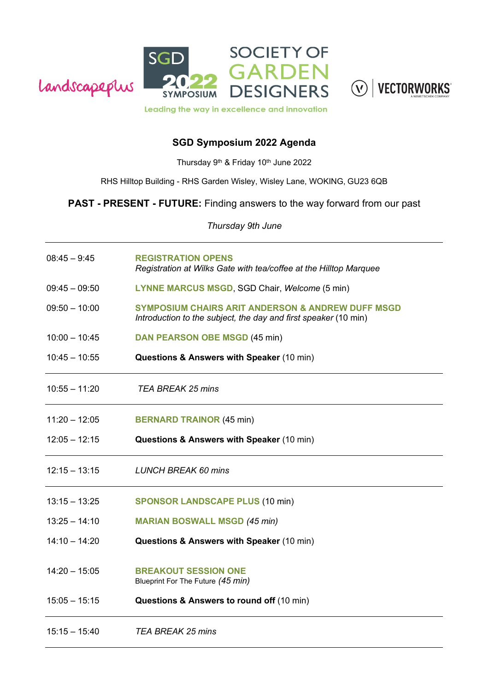

## **SGD Symposium 2022 Agenda**

Thursday 9<sup>th</sup> & Friday 10<sup>th</sup> June 2022

RHS Hilltop Building - RHS Garden Wisley, Wisley Lane, WOKING, GU23 6QB

**PAST - PRESENT - FUTURE:** Finding answers to the way forward from our past

*Thursday 9th June*

| $08:45 - 9:45$  | <b>REGISTRATION OPENS</b><br>Registration at Wilks Gate with tea/coffee at the Hilltop Marquee                                  |
|-----------------|---------------------------------------------------------------------------------------------------------------------------------|
| $09:45 - 09:50$ | LYNNE MARCUS MSGD, SGD Chair, Welcome (5 min)                                                                                   |
| $09:50 - 10:00$ | <b>SYMPOSIUM CHAIRS ARIT ANDERSON &amp; ANDREW DUFF MSGD</b><br>Introduction to the subject, the day and first speaker (10 min) |
| $10:00 - 10:45$ | <b>DAN PEARSON OBE MSGD (45 min)</b>                                                                                            |
| $10:45 - 10:55$ | Questions & Answers with Speaker (10 min)                                                                                       |
| $10:55 - 11:20$ | <b>TEA BREAK 25 mins</b>                                                                                                        |
| $11:20 - 12:05$ | <b>BERNARD TRAINOR (45 min)</b>                                                                                                 |
| $12:05 - 12:15$ | Questions & Answers with Speaker (10 min)                                                                                       |
| $12:15 - 13:15$ | LUNCH BREAK 60 mins                                                                                                             |
| $13:15 - 13:25$ | <b>SPONSOR LANDSCAPE PLUS (10 min)</b>                                                                                          |
| $13:25 - 14:10$ | <b>MARIAN BOSWALL MSGD (45 min)</b>                                                                                             |
| $14:10 - 14:20$ | Questions & Answers with Speaker (10 min)                                                                                       |
| $14:20 - 15:05$ | <b>BREAKOUT SESSION ONE</b><br>Blueprint For The Future (45 min)                                                                |
| $15:05 - 15:15$ | Questions & Answers to round off (10 min)                                                                                       |
| $15:15 - 15:40$ | TEA BREAK 25 mins                                                                                                               |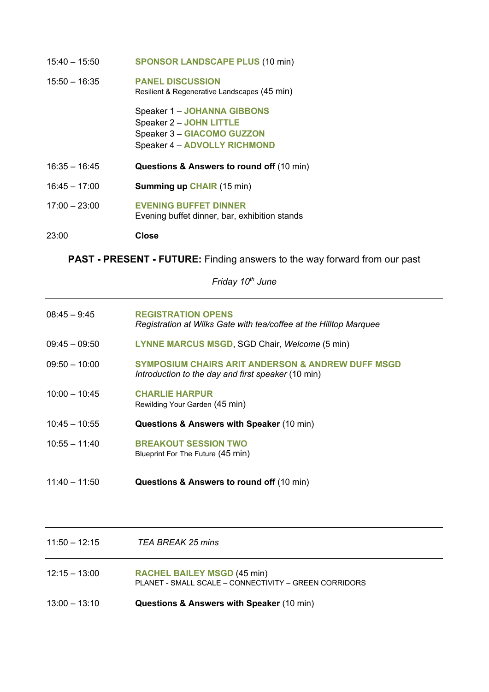- 15:40 15:50 **SPONSOR LANDSCAPE PLUS** (10 min)
- 15:50 16:35 **PANEL DISCUSSION** Resilient & Regenerative Landscapes (45 min)

Speaker 1 – **JOHANNA GIBBONS** Speaker 2 – **JOHN LITTLE**  Speaker 3 – **GIACOMO GUZZON** Speaker 4 – **ADVOLLY RICHMOND** 

- 16:35 16:45 **Questions & Answers to round off** (10 min)
- 16:45 17:00 **Summing up CHAIR** (15 min)
- 17:00 23:00 **EVENING BUFFET DINNER** Evening buffet dinner, bar, exhibition stands
- 23:00 **Close**

**PAST - PRESENT - FUTURE:** Finding answers to the way forward from our past

*Friday 10th June*

| $08:45 - 9:45$  | <b>REGISTRATION OPENS</b><br>Registration at Wilks Gate with tea/coffee at the Hilltop Marquee          |
|-----------------|---------------------------------------------------------------------------------------------------------|
| $09:45 - 09:50$ | <b>LYNNE MARCUS MSGD, SGD Chair, Welcome (5 min)</b>                                                    |
| $09:50 - 10:00$ | SYMPOSIUM CHAIRS ARIT ANDERSON & ANDREW DUFF MSGD<br>Introduction to the day and first speaker (10 min) |
| $10:00 - 10:45$ | <b>CHARLIE HARPUR</b><br>Rewilding Your Garden (45 min)                                                 |
| $10:45 - 10:55$ | Questions & Answers with Speaker (10 min)                                                               |
| $10:55 - 11:40$ | <b>BREAKOUT SESSION TWO</b><br>Blueprint For The Future (45 min)                                        |
| $11:40 - 11:50$ | Questions & Answers to round off (10 min)                                                               |

| $11:50 - 12:15$ | TEA BREAK 25 mins                                                                           |  |
|-----------------|---------------------------------------------------------------------------------------------|--|
| $12:15 - 13:00$ | <b>RACHEL BAILEY MSGD (45 min)</b><br>PLANET - SMALL SCALE – CONNECTIVITY – GREEN CORRIDORS |  |
| $13:00 - 13:10$ | Questions & Answers with Speaker (10 min)                                                   |  |